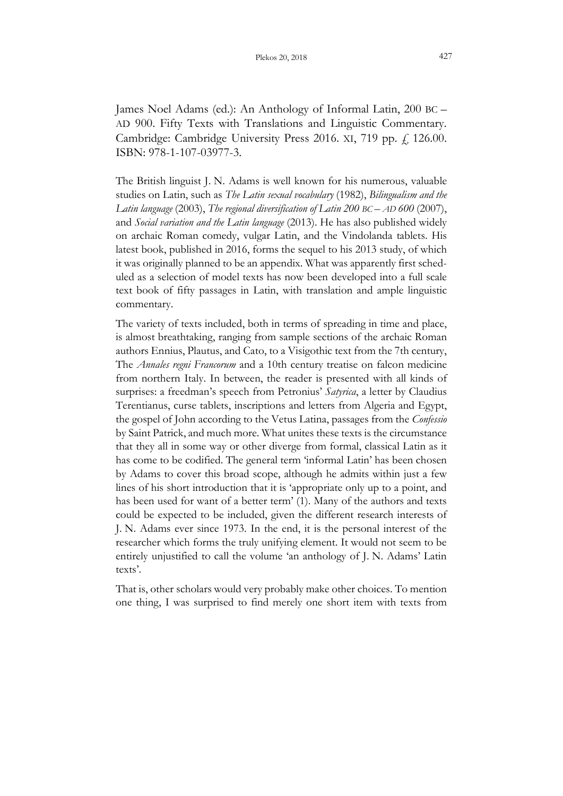James Noel Adams (ed.): An Anthology of Informal Latin, 200 BC – AD 900. Fifty Texts with Translations and Linguistic Commentary. Cambridge: Cambridge University Press 2016. XI, 719 pp.  $f$ , 126.00. ISBN: 978-1-107-03977-3.

The British linguist J. N. Adams is well known for his numerous, valuable studies on Latin, such as The Latin sexual vocabulary (1982), Bilingualism and the Latin language (2003), The regional diversification of Latin 200 BC – AD 600 (2007), and Social variation and the Latin language (2013). He has also published widely on archaic Roman comedy, vulgar Latin, and the Vindolanda tablets. His latest book, published in 2016, forms the sequel to his 2013 study, of which it was originally planned to be an appendix. What was apparently first scheduled as a selection of model texts has now been developed into a full scale text book of fifty passages in Latin, with translation and ample linguistic commentary.

The variety of texts included, both in terms of spreading in time and place, is almost breathtaking, ranging from sample sections of the archaic Roman authors Ennius, Plautus, and Cato, to a Visigothic text from the 7th century, The Annales regni Francorum and a 10th century treatise on falcon medicine from northern Italy. In between, the reader is presented with all kinds of surprises: a freedman's speech from Petronius' Satyrica, a letter by Claudius Terentianus, curse tablets, inscriptions and letters from Algeria and Egypt, the gospel of John according to the Vetus Latina, passages from the Confessio by Saint Patrick, and much more. What unites these texts is the circumstance that they all in some way or other diverge from formal, classical Latin as it has come to be codified. The general term 'informal Latin' has been chosen by Adams to cover this broad scope, although he admits within just a few lines of his short introduction that it is 'appropriate only up to a point, and has been used for want of a better term' (1). Many of the authors and texts could be expected to be included, given the different research interests of J. N. Adams ever since 1973. In the end, it is the personal interest of the researcher which forms the truly unifying element. It would not seem to be entirely unjustified to call the volume 'an anthology of J. N. Adams' Latin texts'.

That is, other scholars would very probably make other choices. To mention one thing, I was surprised to find merely one short item with texts from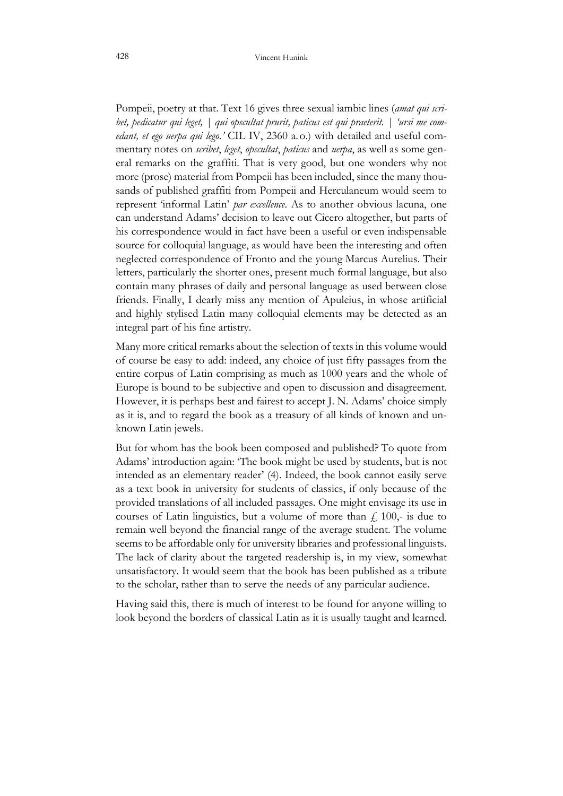Pompeii, poetry at that. Text 16 gives three sexual iambic lines (amat qui scribet, pedicatur qui leget, | qui opscultat prurit, paticus est qui praeterit. | 'ursi me comedant, et ego uerpa qui lego.' CIL IV, 2360 a.o.) with detailed and useful commentary notes on scribet, leget, opscultat, paticus and uerpa, as well as some general remarks on the graffiti. That is very good, but one wonders why not more (prose) material from Pompeii has been included, since the many thousands of published graffiti from Pompeii and Herculaneum would seem to represent 'informal Latin' par excellence. As to another obvious lacuna, one can understand Adams' decision to leave out Cicero altogether, but parts of his correspondence would in fact have been a useful or even indispensable source for colloquial language, as would have been the interesting and often neglected correspondence of Fronto and the young Marcus Aurelius. Their letters, particularly the shorter ones, present much formal language, but also contain many phrases of daily and personal language as used between close friends. Finally, I dearly miss any mention of Apuleius, in whose artificial and highly stylised Latin many colloquial elements may be detected as an integral part of his fine artistry.

Many more critical remarks about the selection of texts in this volume would of course be easy to add: indeed, any choice of just fifty passages from the entire corpus of Latin comprising as much as 1000 years and the whole of Europe is bound to be subjective and open to discussion and disagreement. However, it is perhaps best and fairest to accept J. N. Adams' choice simply as it is, and to regard the book as a treasury of all kinds of known and unknown Latin jewels.

But for whom has the book been composed and published? To quote from Adams' introduction again: 'The book might be used by students, but is not intended as an elementary reader' (4). Indeed, the book cannot easily serve as a text book in university for students of classics, if only because of the provided translations of all included passages. One might envisage its use in courses of Latin linguistics, but a volume of more than  $f<sub>i</sub>$  100,- is due to remain well beyond the financial range of the average student. The volume seems to be affordable only for university libraries and professional linguists. The lack of clarity about the targeted readership is, in my view, somewhat unsatisfactory. It would seem that the book has been published as a tribute to the scholar, rather than to serve the needs of any particular audience.

Having said this, there is much of interest to be found for anyone willing to look beyond the borders of classical Latin as it is usually taught and learned.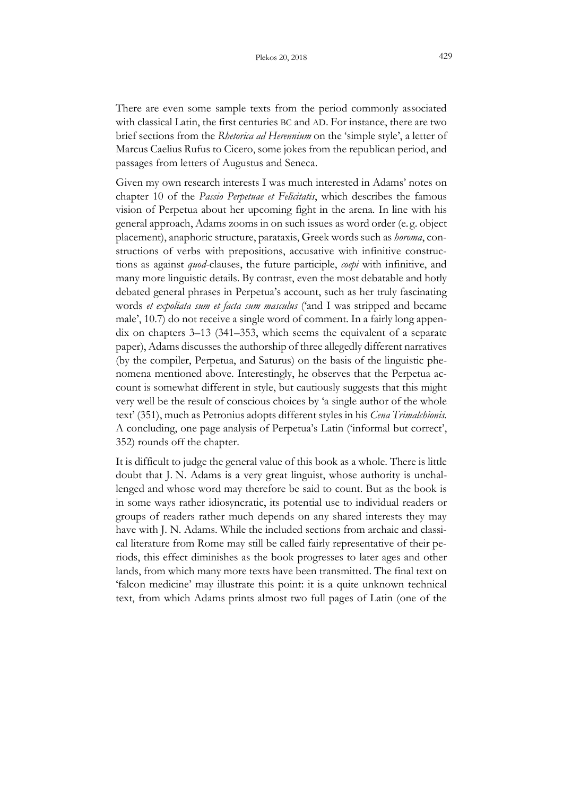There are even some sample texts from the period commonly associated with classical Latin, the first centuries BC and AD. For instance, there are two brief sections from the Rhetorica ad Herennium on the 'simple style', a letter of Marcus Caelius Rufus to Cicero, some jokes from the republican period, and passages from letters of Augustus and Seneca.

Given my own research interests I was much interested in Adams' notes on chapter 10 of the Passio Perpetuae et Felicitatis, which describes the famous vision of Perpetua about her upcoming fight in the arena. In line with his general approach, Adams zooms in on such issues as word order (e. g. object placement), anaphoric structure, parataxis, Greek words such as horoma, constructions of verbs with prepositions, accusative with infinitive constructions as against *quod*-clauses, the future participle, *coepi* with infinitive, and many more linguistic details. By contrast, even the most debatable and hotly debated general phrases in Perpetua's account, such as her truly fascinating words et expoliata sum et facta sum masculus ('and I was stripped and became male', 10.7) do not receive a single word of comment. In a fairly long appendix on chapters 3–13 (341–353, which seems the equivalent of a separate paper), Adams discusses the authorship of three allegedly different narratives (by the compiler, Perpetua, and Saturus) on the basis of the linguistic phenomena mentioned above. Interestingly, he observes that the Perpetua account is somewhat different in style, but cautiously suggests that this might very well be the result of conscious choices by 'a single author of the whole text' (351), much as Petronius adopts different styles in his Cena Trimalchionis. A concluding, one page analysis of Perpetua's Latin ('informal but correct', 352) rounds off the chapter.

It is difficult to judge the general value of this book as a whole. There is little doubt that J. N. Adams is a very great linguist, whose authority is unchallenged and whose word may therefore be said to count. But as the book is in some ways rather idiosyncratic, its potential use to individual readers or groups of readers rather much depends on any shared interests they may have with J. N. Adams. While the included sections from archaic and classical literature from Rome may still be called fairly representative of their periods, this effect diminishes as the book progresses to later ages and other lands, from which many more texts have been transmitted. The final text on 'falcon medicine' may illustrate this point: it is a quite unknown technical text, from which Adams prints almost two full pages of Latin (one of the